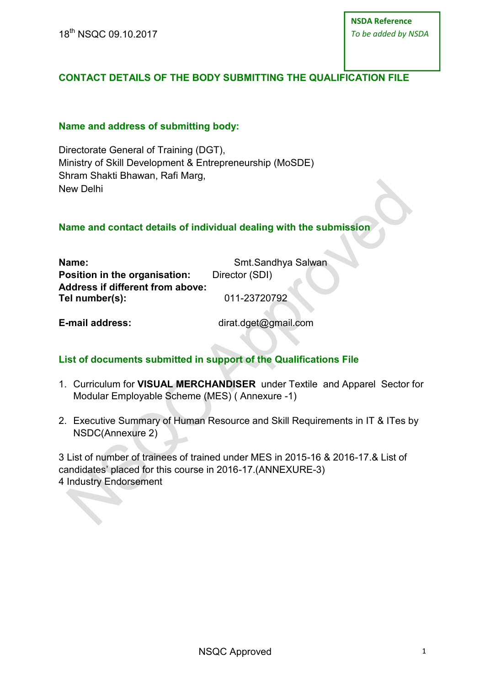18th NSQC 09.10.2017

# **CONTACT DETAILS OF THE BODY SUBMITTING THE QUALIFICATION FILE**

#### **Name and address of submitting body:**

Directorate General of Training (DGT), Ministry of Skill Development & Entrepreneurship (MoSDE) Shram Shakti Bhawan, Rafi Marg, New Delhi

#### **Name and contact details of individual dealing with the submission**

| Name:                                   | Smt.Sandhya Salwan |
|-----------------------------------------|--------------------|
| Position in the organisation:           | Director (SDI)     |
| <b>Address if different from above:</b> |                    |
| Tel number(s):                          | 011-23720792       |

**E-mail address:** dirat.dget@gmail.com

### **List of documents submitted in support of the Qualifications File**

- 1. Curriculum for **VISUAL MERCHANDISER** under Textile and Apparel Sector for Modular Employable Scheme (MES) ( Annexure -1)
- 2. Executive Summary of Human Resource and Skill Requirements in IT & ITes by NSDC(Annexure 2)

3 List of number of trainees of trained under MES in 2015-16 & 2016-17.& List of candidates' placed for this course in 2016-17.(ANNEXURE-3) 4 Industry Endorsement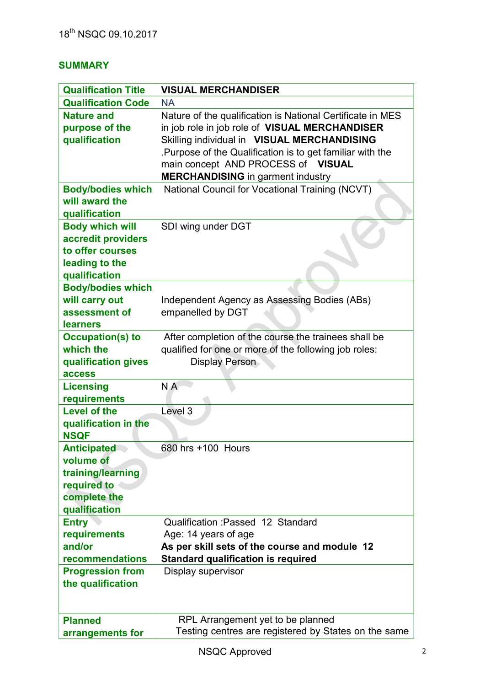# **SUMMARY**

| <b>Qualification Title</b>                                                                           | <b>VISUAL MERCHANDISER</b>                                                                                                                                                                                                                                                                                |
|------------------------------------------------------------------------------------------------------|-----------------------------------------------------------------------------------------------------------------------------------------------------------------------------------------------------------------------------------------------------------------------------------------------------------|
| <b>Qualification Code</b>                                                                            | <b>NA</b>                                                                                                                                                                                                                                                                                                 |
| <b>Nature and</b><br>purpose of the<br>qualification                                                 | Nature of the qualification is National Certificate in MES<br>in job role in job role of VISUAL MERCHANDISER<br>Skilling individual in VISUAL MERCHANDISING<br>Purpose of the Qualification is to get familiar with the<br>main concept AND PROCESS of VISUAL<br><b>MERCHANDISING</b> in garment industry |
| <b>Body/bodies which</b><br>will award the<br>qualification                                          | National Council for Vocational Training (NCVT)                                                                                                                                                                                                                                                           |
| <b>Body which will</b><br>accredit providers<br>to offer courses<br>leading to the<br>qualification  | SDI wing under DGT                                                                                                                                                                                                                                                                                        |
| <b>Body/bodies which</b><br>will carry out<br>assessment of<br><b>learners</b>                       | Independent Agency as Assessing Bodies (ABs)<br>empanelled by DGT                                                                                                                                                                                                                                         |
| <b>Occupation(s) to</b><br>which the<br>qualification gives<br>access                                | After completion of the course the trainees shall be<br>qualified for one or more of the following job roles:<br>Display Person                                                                                                                                                                           |
| <b>Licensing</b><br>requirements                                                                     | N A                                                                                                                                                                                                                                                                                                       |
| <b>Level of the</b>                                                                                  | Level 3                                                                                                                                                                                                                                                                                                   |
| qualification in the<br><b>NSQF</b>                                                                  |                                                                                                                                                                                                                                                                                                           |
| <b>Anticipated</b><br>volume of<br>training/learning<br>required to<br>complete the<br>qualification | 680 hrs +100 Hours                                                                                                                                                                                                                                                                                        |
| <b>Entry</b><br>requirements<br>and/or<br>recommendations                                            | Qualification: Passed 12 Standard<br>Age: 14 years of age<br>As per skill sets of the course and module 12<br><b>Standard qualification is required</b>                                                                                                                                                   |
| <b>Progression from</b><br>the qualification                                                         | Display supervisor                                                                                                                                                                                                                                                                                        |
| <b>Planned</b><br>arrangements for                                                                   | RPL Arrangement yet to be planned<br>Testing centres are registered by States on the same                                                                                                                                                                                                                 |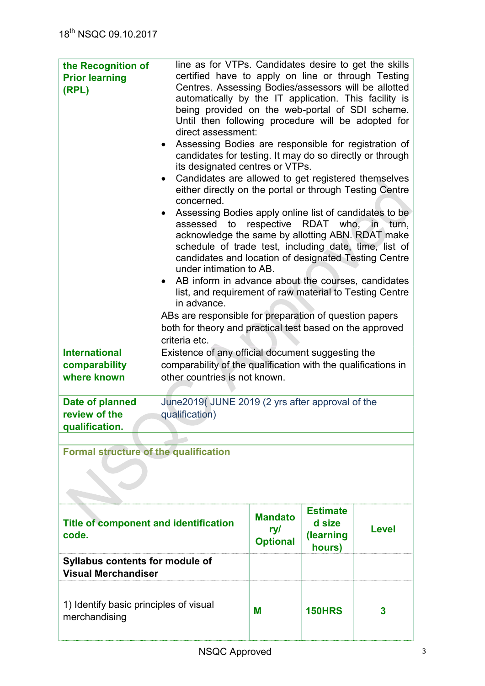| the Recognition of<br><b>Prior learning</b><br>(RPL)                 | line as for VTPs. Candidates desire to get the skills<br>certified have to apply on line or through Testing<br>Centres. Assessing Bodies/assessors will be allotted<br>automatically by the IT application. This facility is<br>being provided on the web-portal of SDI scheme.<br>Until then following procedure will be adopted for<br>direct assessment:<br>Assessing Bodies are responsible for registration of<br>candidates for testing. It may do so directly or through<br>its designated centres or VTPs.<br>Candidates are allowed to get registered themselves<br>$\bullet$<br>either directly on the portal or through Testing Centre<br>concerned.<br>Assessing Bodies apply online list of candidates to be<br>assessed to<br>acknowledge the same by allotting ABN. RDAT make<br>schedule of trade test, including date, time, list of<br>candidates and location of designated Testing Centre<br>under intimation to AB.<br>AB inform in advance about the courses, candidates<br>list, and requirement of raw material to Testing Centre<br>in advance.<br>ABs are responsible for preparation of question papers<br>both for theory and practical test based on the approved<br>criteria etc. |                                          | respective RDAT who,                             | in turn,     |
|----------------------------------------------------------------------|-----------------------------------------------------------------------------------------------------------------------------------------------------------------------------------------------------------------------------------------------------------------------------------------------------------------------------------------------------------------------------------------------------------------------------------------------------------------------------------------------------------------------------------------------------------------------------------------------------------------------------------------------------------------------------------------------------------------------------------------------------------------------------------------------------------------------------------------------------------------------------------------------------------------------------------------------------------------------------------------------------------------------------------------------------------------------------------------------------------------------------------------------------------------------------------------------------------------|------------------------------------------|--------------------------------------------------|--------------|
| <b>International</b><br>comparability<br>where known                 | Existence of any official document suggesting the<br>comparability of the qualification with the qualifications in<br>other countries is not known.                                                                                                                                                                                                                                                                                                                                                                                                                                                                                                                                                                                                                                                                                                                                                                                                                                                                                                                                                                                                                                                             |                                          |                                                  |              |
| Date of planned<br>review of the<br>qualification.                   | June2019(JUNE 2019 (2 yrs after approval of the<br>qualification)                                                                                                                                                                                                                                                                                                                                                                                                                                                                                                                                                                                                                                                                                                                                                                                                                                                                                                                                                                                                                                                                                                                                               |                                          |                                                  |              |
|                                                                      |                                                                                                                                                                                                                                                                                                                                                                                                                                                                                                                                                                                                                                                                                                                                                                                                                                                                                                                                                                                                                                                                                                                                                                                                                 |                                          |                                                  |              |
| <b>Formal structure of the qualification</b>                         |                                                                                                                                                                                                                                                                                                                                                                                                                                                                                                                                                                                                                                                                                                                                                                                                                                                                                                                                                                                                                                                                                                                                                                                                                 |                                          |                                                  |              |
| <b>Title of component and identification</b><br>code.                |                                                                                                                                                                                                                                                                                                                                                                                                                                                                                                                                                                                                                                                                                                                                                                                                                                                                                                                                                                                                                                                                                                                                                                                                                 | <b>Mandato</b><br>ry/<br><b>Optional</b> | <b>Estimate</b><br>d size<br>(learning<br>hours) | <b>Level</b> |
| <b>Syllabus contents for module of</b><br><b>Visual Merchandiser</b> |                                                                                                                                                                                                                                                                                                                                                                                                                                                                                                                                                                                                                                                                                                                                                                                                                                                                                                                                                                                                                                                                                                                                                                                                                 |                                          |                                                  |              |
| 1) Identify basic principles of visual<br>merchandising              |                                                                                                                                                                                                                                                                                                                                                                                                                                                                                                                                                                                                                                                                                                                                                                                                                                                                                                                                                                                                                                                                                                                                                                                                                 | M                                        | <b>150HRS</b>                                    | 3            |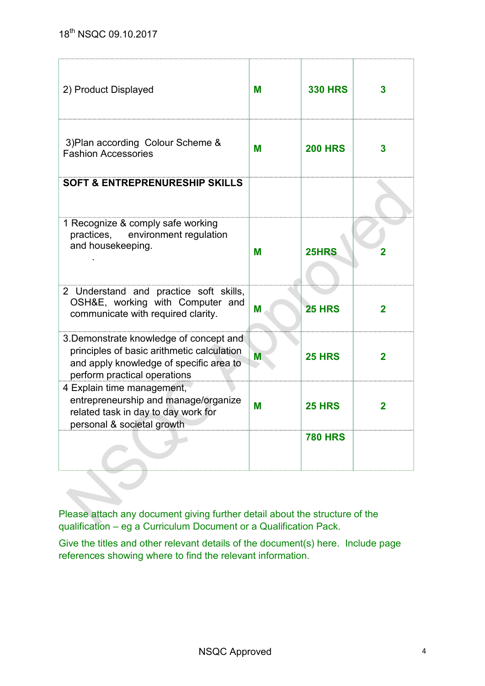| 2) Product Displayed                                                                                                                                             | м | <b>330 HRS</b> | 3              |
|------------------------------------------------------------------------------------------------------------------------------------------------------------------|---|----------------|----------------|
| 3) Plan according Colour Scheme &<br><b>Fashion Accessories</b>                                                                                                  | M | <b>200 HRS</b> | 3              |
| <b>SOFT &amp; ENTREPRENURESHIP SKILLS</b>                                                                                                                        |   |                |                |
| 1 Recognize & comply safe working<br>environment regulation<br>practices,<br>and housekeeping.                                                                   | M | 25HRS          |                |
| 2 Understand and practice soft skills,<br>OSH&E, working with Computer and<br>communicate with required clarity.                                                 | M | <b>25 HRS</b>  | $\overline{2}$ |
| 3. Demonstrate knowledge of concept and<br>principles of basic arithmetic calculation<br>and apply knowledge of specific area to<br>perform practical operations | M | <b>25 HRS</b>  | $\overline{2}$ |
| 4 Explain time management,<br>entrepreneurship and manage/organize<br>related task in day to day work for<br>personal & societal growth                          | M | <b>25 HRS</b>  | $\overline{2}$ |
|                                                                                                                                                                  |   | <b>780 HRS</b> |                |

Please attach any document giving further detail about the structure of the qualification – eg a Curriculum Document or a Qualification Pack.

Give the titles and other relevant details of the document(s) here. Include page references showing where to find the relevant information.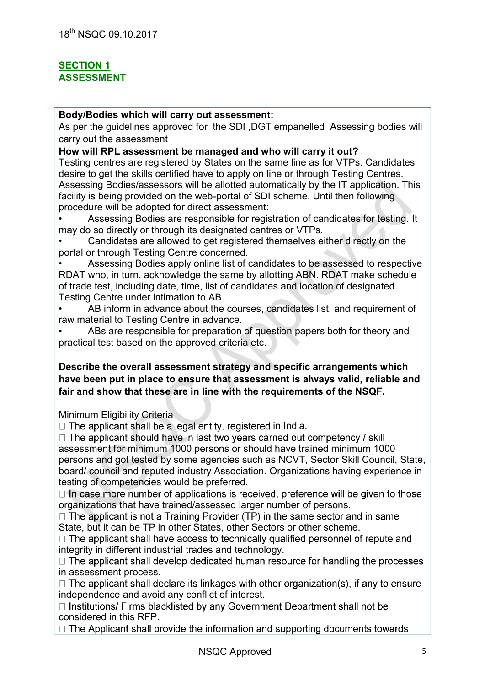## **SECTION 1 ASSESSMENT**

#### **Body/Bodies which will carry out assessment:**

As per the guidelines approved for the SDI ,DGT empanelled Assessing bodies will carry out the assessment

#### **How will RPL assessment be managed and who will carry it out?**

Testing centres are registered by States on the same line as for VTPs. Candidates desire to get the skills certified have to apply on line or through Testing Centres. Assessing Bodies/assessors will be allotted automatically by the IT application. This facility is being provided on the web-portal of SDI scheme. Until then following procedure will be adopted for direct assessment:

• Assessing Bodies are responsible for registration of candidates for testing. It may do so directly or through its designated centres or VTPs.

• Candidates are allowed to get registered themselves either directly on the portal or through Testing Centre concerned.

• Assessing Bodies apply online list of candidates to be assessed to respective RDAT who, in turn, acknowledge the same by allotting ABN. RDAT make schedule of trade test, including date, time, list of candidates and location of designated Testing Centre under intimation to AB.

AB inform in advance about the courses, candidates list, and requirement of raw material to Testing Centre in advance.

ABs are responsible for preparation of question papers both for theory and practical test based on the approved criteria etc.

#### **Describe the overall assessment strategy and specific arrangements which have been put in place to ensure that assessment is always valid, reliable and fair and show that these are in line with the requirements of the NSQF.**

Minimum Eligibility Criteria

 $\Box$  The applicant shall be a legal entity, registered in India.

 $\Box$  The applicant should have in last two years carried out competency / skill assessment for minimum 1000 persons or should have trained minimum 1000 persons and got tested by some agencies such as NCVT, Sector Skill Council, State, board/ council and reputed industry Association. Organizations having experience in testing of competencies would be preferred.

 $\Box$  In case more number of applications is received, preference will be given to those organizations that have trained/assessed larger number of persons.

 $\Box$  The applicant is not a Training Provider (TP) in the same sector and in same State, but it can be TP in other States, other Sectors or other scheme.

 $\Box$  The applicant shall have access to technically qualified personnel of repute and integrity in different industrial trades and technology.

 $\Box$  The applicant shall develop dedicated human resource for handling the processes in assessment process.

 $\Box$  The applicant shall declare its linkages with other organization(s), if any to ensure independence and avoid any conflict of interest.

□ Institutions/ Firms blacklisted by any Government Department shall not be considered in this RFP.

 $\Box$  The Applicant shall provide the information and supporting documents towards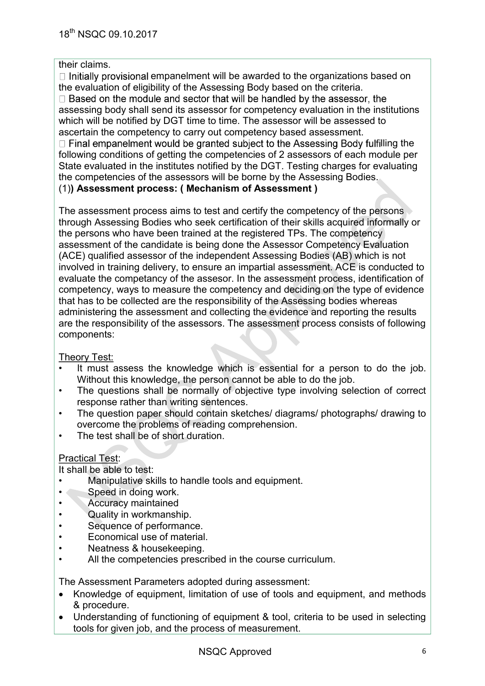#### their claims.

 $\Box$  Initially provisional empanelment will be awarded to the organizations based on the evaluation of eligibility of the Assessing Body based on the criteria.

 $\Box$  Based on the module and sector that will be handled by the assessor, the assessing body shall send its assessor for competency evaluation in the institutions which will be notified by DGT time to time. The assessor will be assessed to ascertain the competency to carry out competency based assessment.

 $\Box$  Final empanelment would be granted subject to the Assessing Body fulfilling the following conditions of getting the competencies of 2 assessors of each module per State evaluated in the institutes notified by the DGT. Testing charges for evaluating the competencies of the assessors will be borne by the Assessing Bodies. (1)**) Assessment process: ( Mechanism of Assessment )**

The assessment process aims to test and certify the competency of the persons through Assessing Bodies who seek certification of their skills acquired informally or the persons who have been trained at the registered TPs. The competency assessment of the candidate is being done the Assessor Competency Evaluation (ACE) qualified assessor of the independent Assessing Bodies (AB) which is not involved in training delivery, to ensure an impartial assessment. ACE is conducted to evaluate the competancy of the assesor. In the assessment process, identification of competency, ways to measure the competency and deciding on the type of evidence that has to be collected are the responsibility of the Assessing bodies whereas administering the assessment and collecting the evidence and reporting the results are the responsibility of the assessors. The assessment process consists of following components:

#### Theory Test:

- It must assess the knowledge which is essential for a person to do the job. Without this knowledge, the person cannot be able to do the job.
- The questions shall be normally of objective type involving selection of correct response rather than writing sentences.
- The question paper should contain sketches/ diagrams/ photographs/ drawing to overcome the problems of reading comprehension.
- The test shall be of short duration.

### Practical Test:

It shall be able to test:

- Manipulative skills to handle tools and equipment.
- Speed in doing work.
- Accuracy maintained
- Quality in workmanship.
- Sequence of performance.
- Economical use of material.
- Neatness & housekeeping.
- All the competencies prescribed in the course curriculum.

The Assessment Parameters adopted during assessment:

- Knowledge of equipment, limitation of use of tools and equipment, and methods & procedure.
- Understanding of functioning of equipment & tool, criteria to be used in selecting tools for given job, and the process of measurement.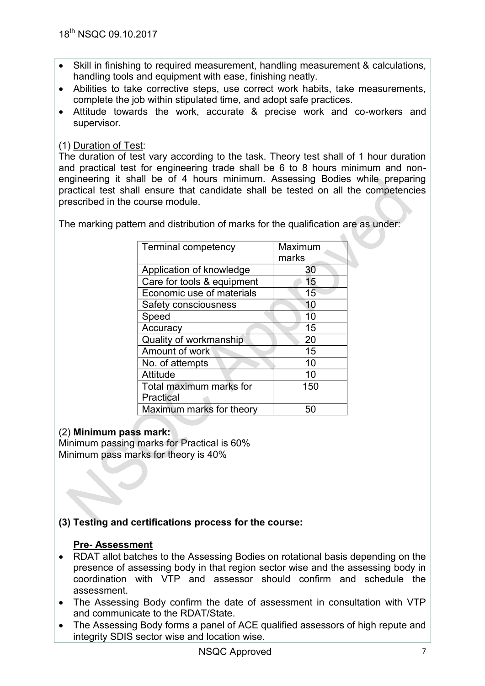- Skill in finishing to required measurement, handling measurement & calculations, handling tools and equipment with ease, finishing neatly.
- Abilities to take corrective steps, use correct work habits, take measurements, complete the job within stipulated time, and adopt safe practices.
- Attitude towards the work, accurate & precise work and co-workers and supervisor.

## (1) Duration of Test:

The duration of test vary according to the task. Theory test shall of 1 hour duration and practical test for engineering trade shall be 6 to 8 hours minimum and nonengineering it shall be of 4 hours minimum. Assessing Bodies while preparing practical test shall ensure that candidate shall be tested on all the competencies prescribed in the course module.

The marking pattern and distribution of marks for the qualification are as under:

| <b>Terminal competency</b> | Maximum<br>marks |
|----------------------------|------------------|
| Application of knowledge   | 30               |
| Care for tools & equipment | 15               |
| Economic use of materials  | 15               |
| Safety consciousness       | 10               |
| Speed                      | 10               |
| Accuracy                   | 15               |
| Quality of workmanship     | 20               |
| Amount of work             | 15               |
| No. of attempts            | 10               |
| Attitude                   | 10               |
| Total maximum marks for    | 150              |
| Practical                  |                  |
| Maximum marks for theory   | 50               |

### (2) **Minimum pass mark:**

Minimum passing marks for Practical is 60% Minimum pass marks for theory is 40%

# **(3) Testing and certifications process for the course:**

### **Pre- Assessment**

- RDAT allot batches to the Assessing Bodies on rotational basis depending on the presence of assessing body in that region sector wise and the assessing body in coordination with VTP and assessor should confirm and schedule the assessment.
- The Assessing Body confirm the date of assessment in consultation with VTP and communicate to the RDAT/State.
- The Assessing Body forms a panel of ACE qualified assessors of high repute and integrity SDIS sector wise and location wise.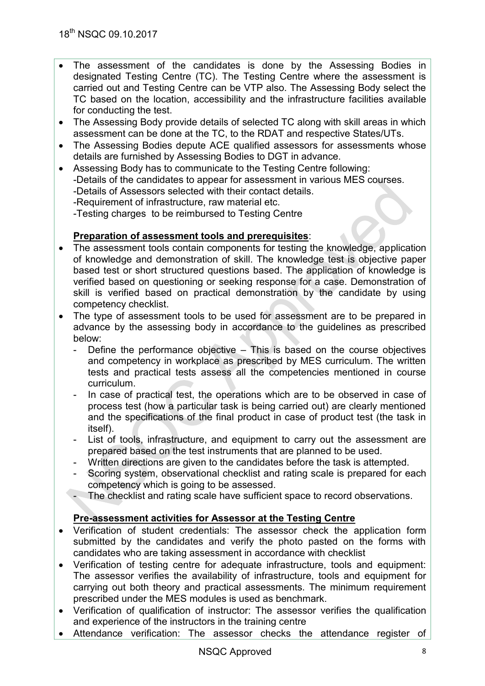- The assessment of the candidates is done by the Assessing Bodies in designated Testing Centre (TC). The Testing Centre where the assessment is carried out and Testing Centre can be VTP also. The Assessing Body select the TC based on the location, accessibility and the infrastructure facilities available for conducting the test.
- The Assessing Body provide details of selected TC along with skill areas in which assessment can be done at the TC, to the RDAT and respective States/UTs.
- The Assessing Bodies depute ACE qualified assessors for assessments whose details are furnished by Assessing Bodies to DGT in advance.
- Assessing Body has to communicate to the Testing Centre following: -Details of the candidates to appear for assessment in various MES courses. -Details of Assessors selected with their contact details. -Requirement of infrastructure, raw material etc. -Testing charges to be reimbursed to Testing Centre

### **Preparation of assessment tools and prerequisites**:

- The assessment tools contain components for testing the knowledge, application of knowledge and demonstration of skill. The knowledge test is objective paper based test or short structured questions based. The application of knowledge is verified based on questioning or seeking response for a case. Demonstration of skill is verified based on practical demonstration by the candidate by using competency checklist.
- The type of assessment tools to be used for assessment are to be prepared in advance by the assessing body in accordance to the guidelines as prescribed below:
	- Define the performance objective  $-$  This is based on the course objectives and competency in workplace as prescribed by MES curriculum. The written tests and practical tests assess all the competencies mentioned in course curriculum.
	- In case of practical test, the operations which are to be observed in case of process test (how a particular task is being carried out) are clearly mentioned and the specifications of the final product in case of product test (the task in itself).
	- List of tools, infrastructure, and equipment to carry out the assessment are prepared based on the test instruments that are planned to be used.
	- Written directions are given to the candidates before the task is attempted.
	- Scoring system, observational checklist and rating scale is prepared for each competency which is going to be assessed.
	- The checklist and rating scale have sufficient space to record observations.

# **Pre-assessment activities for Assessor at the Testing Centre**

- Verification of student credentials: The assessor check the application form submitted by the candidates and verify the photo pasted on the forms with candidates who are taking assessment in accordance with checklist
- Verification of testing centre for adequate infrastructure, tools and equipment: The assessor verifies the availability of infrastructure, tools and equipment for carrying out both theory and practical assessments. The minimum requirement prescribed under the MES modules is used as benchmark.
- Verification of qualification of instructor: The assessor verifies the qualification and experience of the instructors in the training centre
- Attendance verification: The assessor checks the attendance register of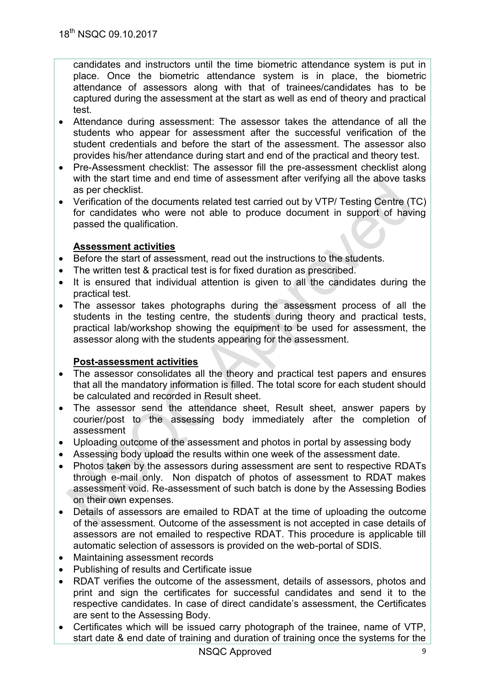candidates and instructors until the time biometric attendance system is put in place. Once the biometric attendance system is in place, the biometric attendance of assessors along with that of trainees/candidates has to be captured during the assessment at the start as well as end of theory and practical test.

- Attendance during assessment: The assessor takes the attendance of all the students who appear for assessment after the successful verification of the student credentials and before the start of the assessment. The assessor also provides his/her attendance during start and end of the practical and theory test.
- Pre-Assessment checklist: The assessor fill the pre-assessment checklist along with the start time and end time of assessment after verifying all the above tasks as per checklist.
- Verification of the documents related test carried out by VTP/ Testing Centre (TC) for candidates who were not able to produce document in support of having passed the qualification.

## **Assessment activities**

- Before the start of assessment, read out the instructions to the students.
- The written test & practical test is for fixed duration as prescribed.
- It is ensured that individual attention is given to all the candidates during the practical test.
- The assessor takes photographs during the assessment process of all the students in the testing centre, the students during theory and practical tests, practical lab/workshop showing the equipment to be used for assessment, the assessor along with the students appearing for the assessment.

### **Post-assessment activities**

- The assessor consolidates all the theory and practical test papers and ensures that all the mandatory information is filled. The total score for each student should be calculated and recorded in Result sheet.
- The assessor send the attendance sheet, Result sheet, answer papers by courier/post to the assessing body immediately after the completion of assessment
- Uploading outcome of the assessment and photos in portal by assessing body
- Assessing body upload the results within one week of the assessment date.
- Photos taken by the assessors during assessment are sent to respective RDATs through e-mail only. Non dispatch of photos of assessment to RDAT makes assessment void. Re-assessment of such batch is done by the Assessing Bodies on their own expenses.
- Details of assessors are emailed to RDAT at the time of uploading the outcome of the assessment. Outcome of the assessment is not accepted in case details of assessors are not emailed to respective RDAT. This procedure is applicable till automatic selection of assessors is provided on the web-portal of SDIS.
- Maintaining assessment records
- Publishing of results and Certificate issue
- RDAT verifies the outcome of the assessment, details of assessors, photos and print and sign the certificates for successful candidates and send it to the respective candidates. In case of direct candidate's assessment, the Certificates are sent to the Assessing Body.
- Certificates which will be issued carry photograph of the trainee, name of VTP, start date & end date of training and duration of training once the systems for the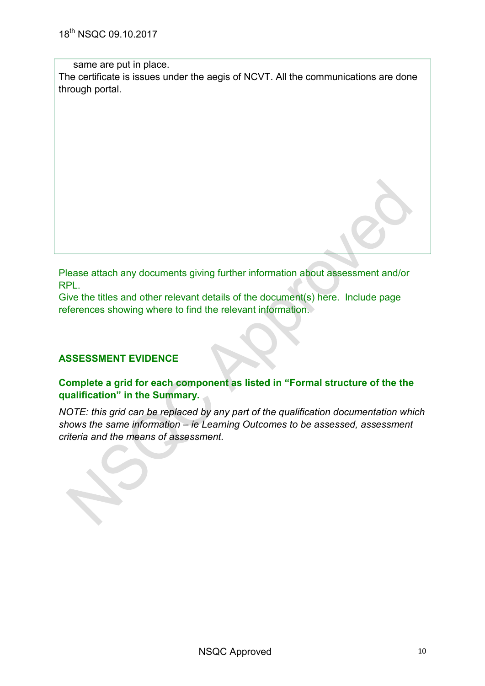same are put in place.

The certificate is issues under the aegis of NCVT. All the communications are done through portal.

Please attach any documents giving further information about assessment and/or RPL.

Give the titles and other relevant details of the document(s) here. Include page references showing where to find the relevant information.

### **ASSESSMENT EVIDENCE**

### **Complete a grid for each component as listed in "Formal structure of the the qualification" in the Summary.**

*NOTE: this grid can be replaced by any part of the qualification documentation which shows the same information – ie Learning Outcomes to be assessed, assessment criteria and the means of assessment.*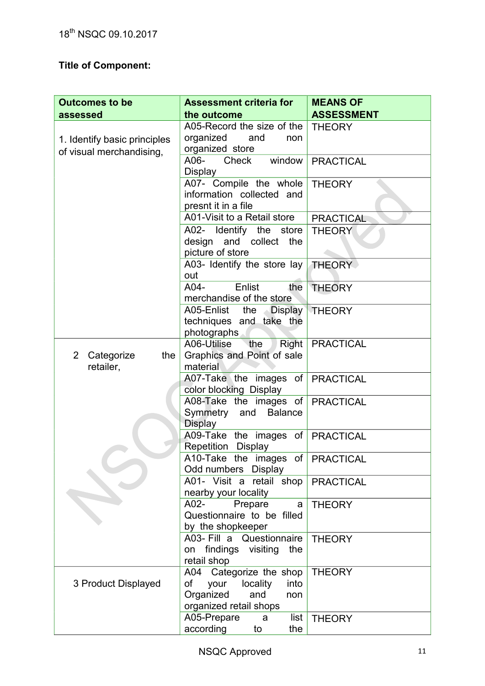# **Title of Component:**

| <b>Outcomes to be</b>                                    | <b>Assessment criteria for</b>                                                                              | <b>MEANS OF</b>   |
|----------------------------------------------------------|-------------------------------------------------------------------------------------------------------------|-------------------|
| assessed                                                 | the outcome                                                                                                 | <b>ASSESSMENT</b> |
| 1. Identify basic principles<br>of visual merchandising, | A05-Record the size of the<br>organized<br>and<br>non<br>organized store                                    | <b>THEORY</b>     |
|                                                          | A06- Check window<br><b>Display</b>                                                                         | <b>PRACTICAL</b>  |
|                                                          | A07- Compile the whole<br>information collected and<br>presnt it in a file                                  | <b>THEORY</b>     |
|                                                          | A01-Visit to a Retail store                                                                                 | <b>PRACTICAL</b>  |
|                                                          | A02- Identify the store<br>design and collect the<br>picture of store                                       | <b>THEORY</b>     |
|                                                          | A03- Identify the store lay<br>out                                                                          | THEORY            |
|                                                          | $A04-$<br>Enlist<br>the<br>merchandise of the store                                                         | <b>THEORY</b>     |
|                                                          | A05-Enlist the Display<br>techniques and take the<br>photographs                                            | <b>THEORY</b>     |
| Categorize<br>$\overline{2}$<br>the<br>retailer,         | A06-Utilise<br>Right<br>the<br>Graphics and Point of sale<br>material                                       | <b>PRACTICAL</b>  |
|                                                          | A07-Take the images of PRACTICAL<br>color blocking Display                                                  |                   |
|                                                          | A08-Take the images of<br>Symmetry and Balance<br><b>Display</b>                                            | <b>PRACTICAL</b>  |
|                                                          | A09-Take the images of<br>Repetition Display                                                                | <b>PRACTICAL</b>  |
|                                                          | A10-Take the images of PRACTICAL<br>Odd numbers Display                                                     |                   |
|                                                          | A01- Visit a retail shop<br>nearby your locality                                                            | <b>PRACTICAL</b>  |
|                                                          | A02-<br>Prepare<br>a<br>Questionnaire to be filled<br>by the shopkeeper                                     | <b>THEORY</b>     |
|                                                          | A03- Fill a Questionnaire<br>findings visiting<br>the<br>on<br>retail shop                                  | <b>THEORY</b>     |
| 3 Product Displayed                                      | A04 Categorize the shop<br>of<br>your locality<br>into<br>Organized<br>and<br>non<br>organized retail shops | <b>THEORY</b>     |
|                                                          | A05-Prepare<br>list<br>a<br>according<br>to<br>the                                                          | <b>THEORY</b>     |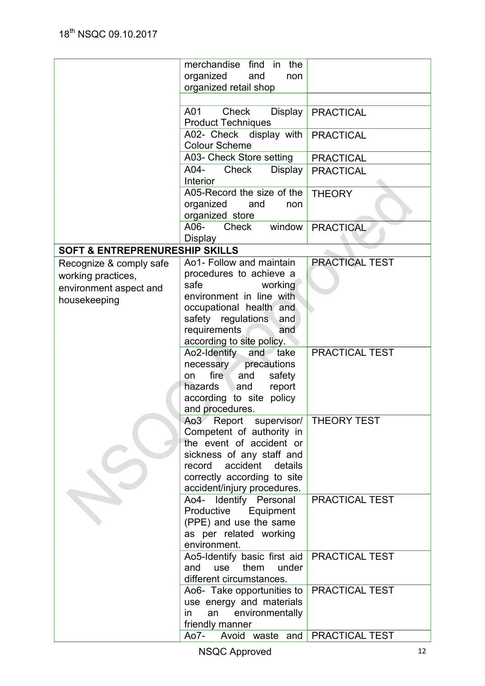|                                           | merchandise find in<br>the                                  |                  |
|-------------------------------------------|-------------------------------------------------------------|------------------|
|                                           | organized<br>and<br>non                                     |                  |
|                                           | organized retail shop                                       |                  |
|                                           |                                                             |                  |
|                                           | A01<br><b>Check</b><br>Display<br><b>Product Techniques</b> | <b>PRACTICAL</b> |
|                                           | A02- Check display with<br><b>Colour Scheme</b>             | <b>PRACTICAL</b> |
|                                           | A03- Check Store setting                                    | <b>PRACTICAL</b> |
|                                           | A04-<br>Check<br>Display<br><b>Interior</b>                 | <b>PRACTICAL</b> |
|                                           | A05-Record the size of the                                  | <b>THEORY</b>    |
|                                           | organized<br>and<br>non<br>organized store                  |                  |
|                                           | A06-<br>Check<br>window<br><b>Display</b>                   | <b>PRACTICAL</b> |
| <b>SOFT &amp; ENTREPRENURESHIP SKILLS</b> |                                                             |                  |
|                                           | Ao1- Follow and maintain                                    | PRACTICAL TEST   |
| Recognize & comply safe                   | procedures to achieve a                                     |                  |
| working practices,                        | safe<br>working                                             |                  |
| environment aspect and                    | environment in line with                                    |                  |
| housekeeping                              | occupational health and                                     |                  |
|                                           | safety regulations<br>and                                   |                  |
|                                           | requirements<br>and                                         |                  |
|                                           | according to site policy.                                   |                  |
|                                           | Ao2-Identify and take                                       | PRACTICAL TEST   |
|                                           | necessary<br>precautions                                    |                  |
|                                           | fire<br>and<br>safety<br>on                                 |                  |
|                                           | hazards<br>and<br>report                                    |                  |
|                                           | according to site policy                                    |                  |
|                                           | and procedures.                                             |                  |
|                                           | Ao3 Report supervisor/   THEORY TEST                        |                  |
|                                           | Competent of authority in                                   |                  |
|                                           | the event of accident or                                    |                  |
|                                           | sickness of any staff and                                   |                  |
|                                           | accident<br>record<br>details                               |                  |
|                                           | correctly according to site<br>accident/injury procedures.  |                  |
|                                           | Ao4- Identify Personal                                      | PRACTICAL TEST   |
|                                           | Productive<br>Equipment                                     |                  |
|                                           | (PPE) and use the same                                      |                  |
|                                           | as per related working                                      |                  |
|                                           | environment.                                                |                  |
|                                           | Ao5-Identify basic first aid                                | PRACTICAL TEST   |
|                                           | them<br>and<br>use<br>under                                 |                  |
|                                           | different circumstances.                                    |                  |
|                                           | Ao6- Take opportunities to                                  | PRACTICAL TEST   |
|                                           | use energy and materials                                    |                  |
|                                           | environmentally<br>an<br><i>in</i>                          |                  |
|                                           | friendly manner                                             |                  |
|                                           | Ao7-<br>Avoid waste and                                     | PRACTICAL TEST   |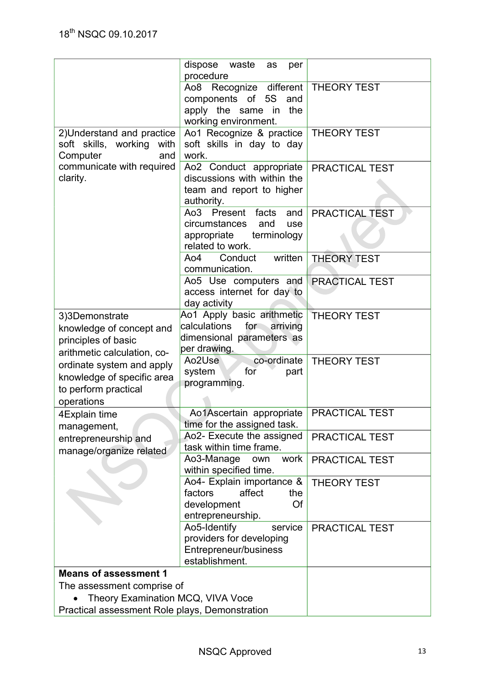|                                                                                                  | dispose waste<br>as<br>per<br>procedure                                                                      |                       |
|--------------------------------------------------------------------------------------------------|--------------------------------------------------------------------------------------------------------------|-----------------------|
|                                                                                                  | Recognize different<br>Ao8<br>components of 5S<br>and<br>apply the same in<br>the<br>working environment.    | <b>THEORY TEST</b>    |
| 2) Understand and practice<br>soft skills, working<br>with<br>Computer<br>and                    | Ao1 Recognize & practice<br>soft skills in day to day<br>work.                                               | <b>THEORY TEST</b>    |
| communicate with required<br>clarity.                                                            | Ao2 Conduct appropriate<br>discussions with within the<br>team and report to higher<br>authority.            | PRACTICAL TEST        |
|                                                                                                  | Ao3 Present<br>facts<br>and<br>circumstances<br>and<br>use<br>appropriate<br>terminology<br>related to work. | PRACTICAL TEST        |
|                                                                                                  | written<br>Ao4<br>Conduct<br>communication.                                                                  | <b>THEORY TEST</b>    |
|                                                                                                  | Ao5 Use computers and<br>access internet for day to<br>day activity                                          | <b>PRACTICAL TEST</b> |
| 3)3Demonstrate<br>knowledge of concept and<br>principles of basic<br>arithmetic calculation, co- | Ao1 Apply basic arithmetic<br>calculations<br>for arriving<br>dimensional parameters as<br>per drawing.      | <b>THEORY TEST</b>    |
| ordinate system and apply<br>knowledge of specific area<br>to perform practical<br>operations    | co-ordinate<br>Ao2Use<br>system<br>for<br>part<br>programming.                                               | <b>THEORY TEST</b>    |
| 4Explain time<br>management,                                                                     | Ao1Ascertain appropriate<br>time for the assigned task.                                                      | PRACTICAL TEST        |
| entrepreneurship and<br>manage/organize related                                                  | Ao2- Execute the assigned<br>task within time frame.                                                         | PRACTICAL TEST        |
|                                                                                                  | Ao3-Manage<br>work<br>own<br>within specified time.                                                          | PRACTICAL TEST        |
|                                                                                                  | Ao4- Explain importance &<br>affect<br>factors<br>the<br>development<br>Of<br>entrepreneurship.              | <b>THEORY TEST</b>    |
|                                                                                                  | Ao5-Identify<br>service<br>providers for developing<br>Entrepreneur/business<br>establishment.               | PRACTICAL TEST        |
| <b>Means of assessment 1</b>                                                                     |                                                                                                              |                       |
| The assessment comprise of                                                                       |                                                                                                              |                       |
| Theory Examination MCQ, VIVA Voce                                                                | Practical assessment Role plays, Demonstration                                                               |                       |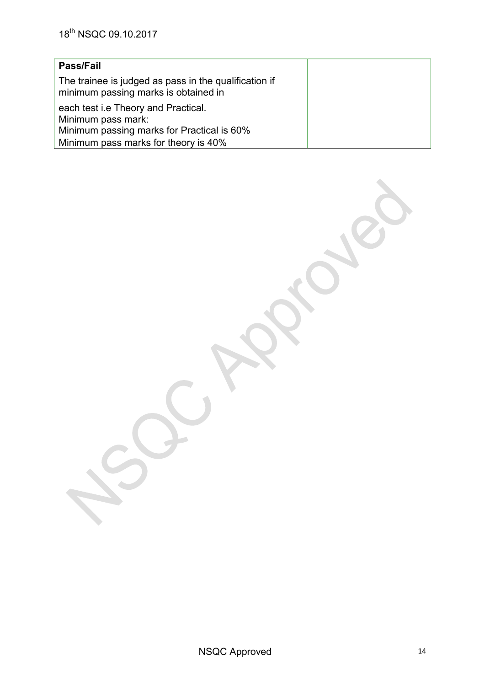## **Pass/Fail**

The trainee is judged as pass in the qualification if minimum passing marks is obtained in

each test i.e Theory and Practical. Minimum pass mark: Minimum passing marks for Practical is 60% Minimum pass marks for theory is 40%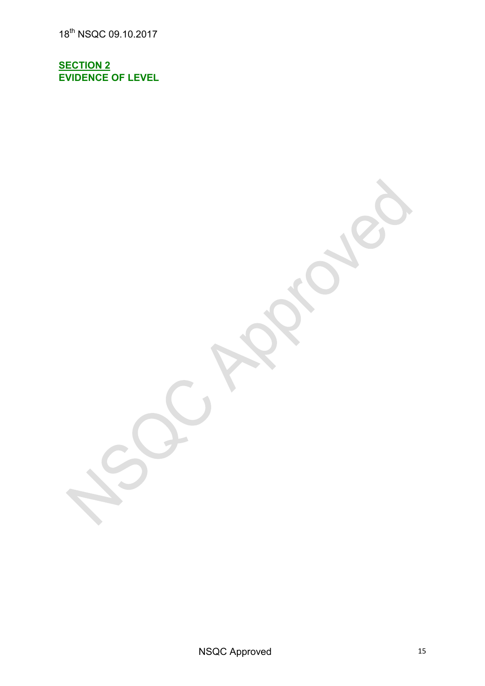18th NSQC 09.10.2017

**SECTION 2 EVIDENCE OF LEVEL**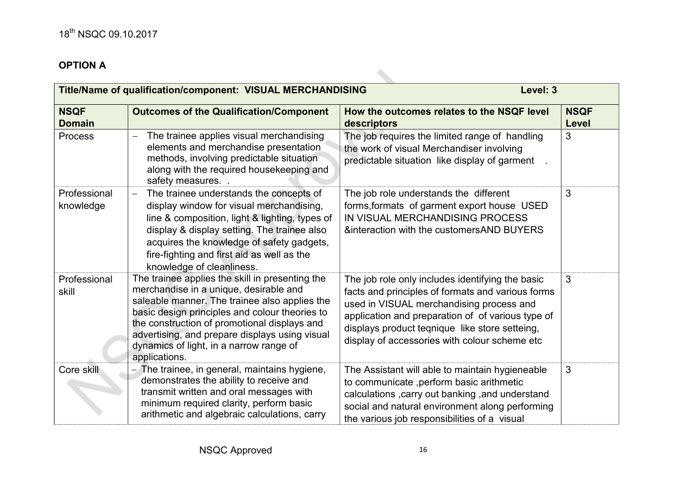# **OPTION A**

|                              | Title/Name of qualification/component: VISUAL MERCHANDISING                                                                                                                                                                                                                                                                                                | Level: 3                                                                                                                                                                                                                                                                                                  |                      |
|------------------------------|------------------------------------------------------------------------------------------------------------------------------------------------------------------------------------------------------------------------------------------------------------------------------------------------------------------------------------------------------------|-----------------------------------------------------------------------------------------------------------------------------------------------------------------------------------------------------------------------------------------------------------------------------------------------------------|----------------------|
| <b>NSQF</b><br><b>Domain</b> | <b>Outcomes of the Qualification/Component</b>                                                                                                                                                                                                                                                                                                             | How the outcomes relates to the NSQF level<br>descriptors                                                                                                                                                                                                                                                 | <b>NSQF</b><br>Level |
| <b>Process</b>               | The trainee applies visual merchandising<br>elements and merchandise presentation<br>methods, involving predictable situation<br>along with the required housekeeping and<br>safety measures. .                                                                                                                                                            | The job requires the limited range of handling<br>the work of visual Merchandiser involving<br>predictable situation like display of garment                                                                                                                                                              | 3                    |
| Professional<br>knowledge    | The trainee understands the concepts of<br>display window for visual merchandising,<br>line & composition, light & lighting, types of<br>display & display setting. The trainee also<br>acquires the knowledge of safety gadgets,<br>fire-fighting and first aid as well as the<br>knowledge of cleanliness.                                               | The job role understands the different<br>forms, formats of garment export house USED<br>IN VISUAL MERCHANDISING PROCESS<br><b>&amp;interaction with the customersAND BUYERS</b>                                                                                                                          | 3                    |
| Professional<br>skill        | The trainee applies the skill in presenting the<br>merchandise in a unique, desirable and<br>saleable manner. The trainee also applies the<br>basic design principles and colour theories to<br>the construction of promotional displays and<br>advertising, and prepare displays using visual<br>dynamics of light, in a narrow range of<br>applications. | The job role only includes identifying the basic<br>facts and principles of formats and various forms<br>used in VISUAL merchandising process and<br>application and preparation of of various type of<br>displays product teqnique like store setteing,<br>display of accessories with colour scheme etc | 3                    |
| Core skill                   | The trainee, in general, maintains hygiene,<br>demonstrates the ability to receive and<br>transmit written and oral messages with<br>minimum required clarity, perform basic<br>arithmetic and algebraic calculations, carry                                                                                                                               | The Assistant will able to maintain hygieneable<br>to communicate , perform basic arithmetic<br>calculations, carry out banking, and understand<br>social and natural environment along performing<br>the various job responsibilities of a visual                                                        | 3                    |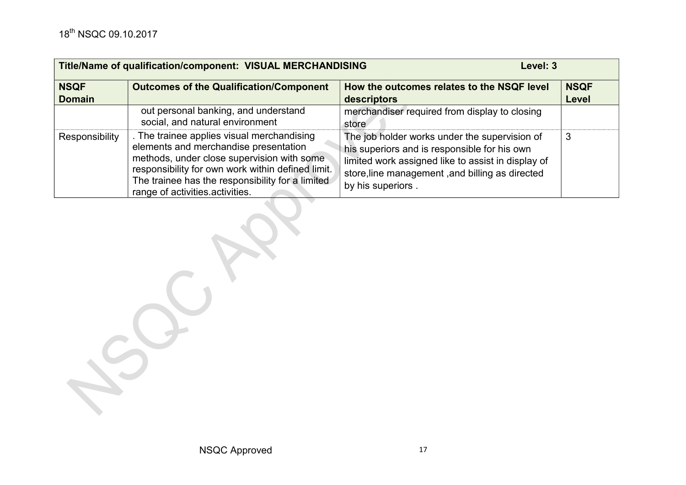| Title/Name of qualification/component: VISUAL MERCHANDISING<br>Level: 3 |                                                                                                                                                                                                                                                                             |                                                                                                                                                                                                                             |                      |
|-------------------------------------------------------------------------|-----------------------------------------------------------------------------------------------------------------------------------------------------------------------------------------------------------------------------------------------------------------------------|-----------------------------------------------------------------------------------------------------------------------------------------------------------------------------------------------------------------------------|----------------------|
| <b>NSQF</b><br><b>Domain</b>                                            | <b>Outcomes of the Qualification/Component</b>                                                                                                                                                                                                                              | How the outcomes relates to the NSQF level<br>descriptors                                                                                                                                                                   | <b>NSQF</b><br>Level |
|                                                                         | out personal banking, and understand<br>social, and natural environment                                                                                                                                                                                                     | merchandiser required from display to closing<br>store                                                                                                                                                                      |                      |
| Responsibility                                                          | The trainee applies visual merchandising<br>elements and merchandise presentation<br>methods, under close supervision with some<br>responsibility for own work within defined limit.<br>The trainee has the responsibility for a limited<br>range of activities activities. | The job holder works under the supervision of<br>his superiors and is responsible for his own<br>limited work assigned like to assist in display of<br>store, line management, and billing as directed<br>by his superiors. | 3                    |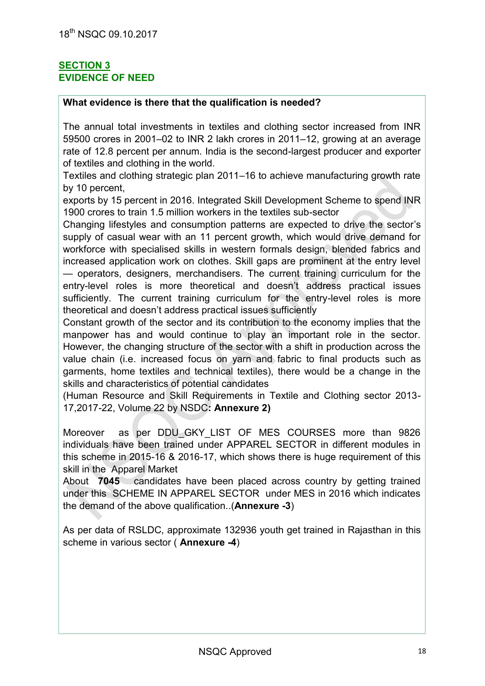### **SECTION 3 EVIDENCE OF NEED**

## **What evidence is there that the qualification is needed?**

The annual total investments in textiles and clothing sector increased from INR 59500 crores in 2001–02 to INR 2 lakh crores in 2011–12, growing at an average rate of 12.8 percent per annum. India is the second-largest producer and exporter of textiles and clothing in the world.

Textiles and clothing strategic plan 2011–16 to achieve manufacturing growth rate by 10 percent,

exports by 15 percent in 2016. Integrated Skill Development Scheme to spend INR 1900 crores to train 1.5 million workers in the textiles sub-sector

Changing lifestyles and consumption patterns are expected to drive the sector's supply of casual wear with an 11 percent growth, which would drive demand for workforce with specialised skills in western formals design, blended fabrics and increased application work on clothes. Skill gaps are prominent at the entry level — operators, designers, merchandisers. The current training curriculum for the entry-level roles is more theoretical and doesn't address practical issues sufficiently. The current training curriculum for the entry-level roles is more theoretical and doesn't address practical issues sufficiently

Constant growth of the sector and its contribution to the economy implies that the manpower has and would continue to play an important role in the sector. However, the changing structure of the sector with a shift in production across the value chain (i.e. increased focus on yarn and fabric to final products such as garments, home textiles and technical textiles), there would be a change in the skills and characteristics of potential candidates

(Human Resource and Skill Requirements in Textile and Clothing sector 2013- 17,2017-22, Volume 22 by NSDC**: Annexure 2)** 

Moreover as per DDU GKY LIST OF MES COURSES more than 9826 individuals have been trained under APPAREL SECTOR in different modules in this scheme in 2015-16 & 2016-17, which shows there is huge requirement of this skill in the Apparel Market

About **7045** candidates have been placed across country by getting trained under this SCHEME IN APPAREL SECTOR under MES in 2016 which indicates the demand of the above qualification..(**Annexure -3**)

As per data of RSLDC, approximate 132936 youth get trained in Rajasthan in this scheme in various sector ( **Annexure -4**)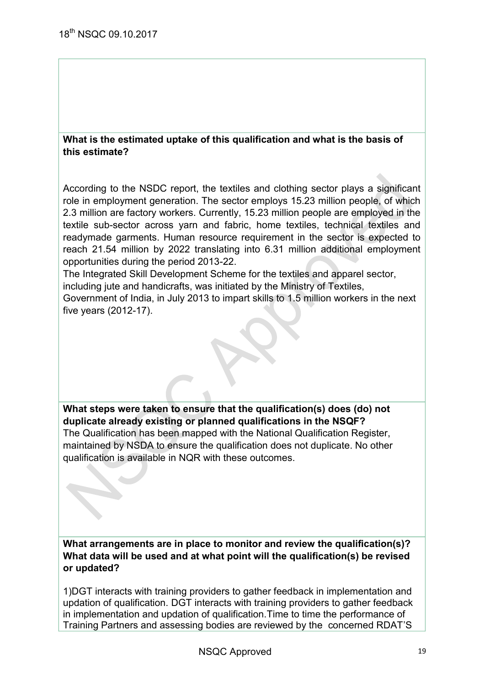#### **What is the estimated uptake of this qualification and what is the basis of this estimate?**

According to the NSDC report, the textiles and clothing sector plays a significant role in employment generation. The sector employs 15.23 million people, of which 2.3 million are factory workers. Currently, 15.23 million people are employed in the textile sub-sector across yarn and fabric, home textiles, technical textiles and readymade garments. Human resource requirement in the sector is expected to reach 21.54 million by 2022 translating into 6.31 million additional employment opportunities during the period 2013-22.

The Integrated Skill Development Scheme for the textiles and apparel sector, including jute and handicrafts, was initiated by the Ministry of Textiles,

Government of India, in July 2013 to impart skills to 1.5 million workers in the next five years (2012-17).

**What steps were taken to ensure that the qualification(s) does (do) not duplicate already existing or planned qualifications in the NSQF?**  The Qualification has been mapped with the National Qualification Register, maintained by NSDA to ensure the qualification does not duplicate. No other qualification is available in NQR with these outcomes.

**What arrangements are in place to monitor and review the qualification(s)? What data will be used and at what point will the qualification(s) be revised or updated?** 

1)DGT interacts with training providers to gather feedback in implementation and updation of qualification. DGT interacts with training providers to gather feedback in implementation and updation of qualification.Time to time the performance of Training Partners and assessing bodies are reviewed by the concerned RDAT'S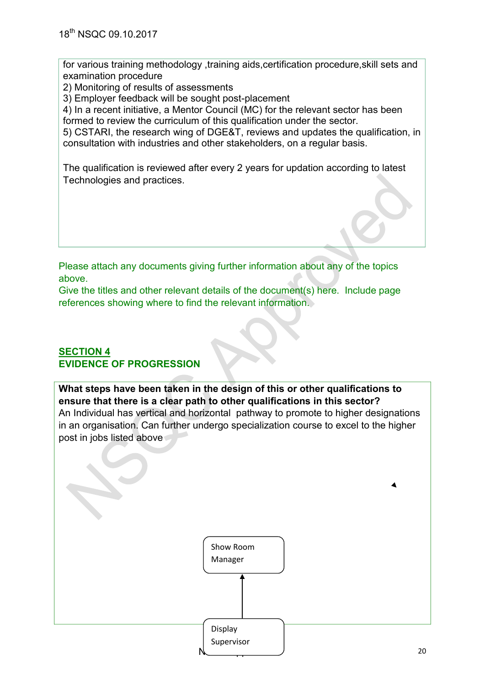for various training methodology ,training aids,certification procedure,skill sets and examination procedure

2) Monitoring of results of assessments

3) Employer feedback will be sought post-placement

4) In a recent initiative, a Mentor Council (MC) for the relevant sector has been formed to review the curriculum of this qualification under the sector.

5) CSTARI, the research wing of DGE&T, reviews and updates the qualification, in consultation with industries and other stakeholders, on a regular basis.

The qualification is reviewed after every 2 years for updation according to latest Technologies and practices.

Please attach any documents giving further information about any of the topics above.

Give the titles and other relevant details of the document(s) here. Include page references showing where to find the relevant information.

### **SECTION 4 EVIDENCE OF PROGRESSION**

**What steps have been taken in the design of this or other qualifications to ensure that there is a clear path to other qualifications in this sector?**  An Individual has vertical and horizontal pathway to promote to higher designations in an organisation. Can further undergo specialization course to excel to the higher post in jobs listed above